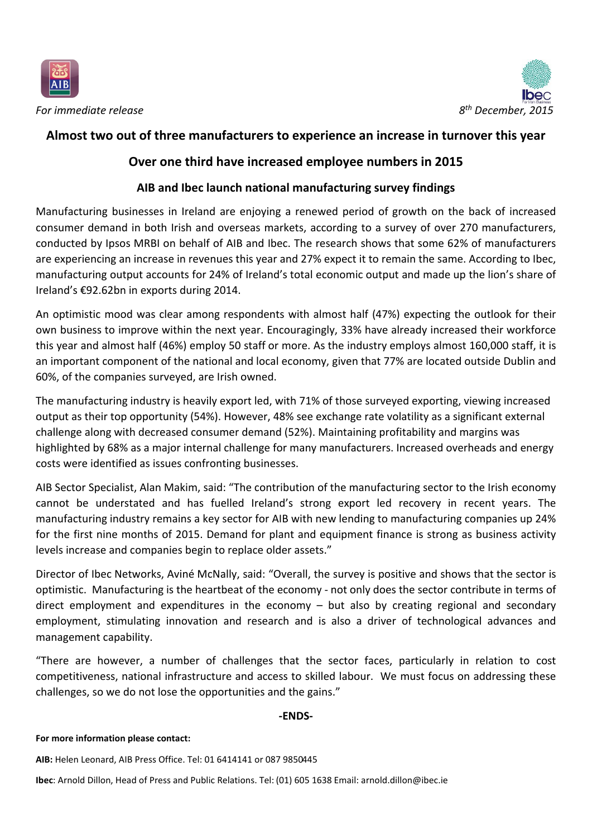



*For immediate release* 

## **Almost two out of three manufacturers to experience an increase in turnover this year**

# **Over one third have increased employee numbers in 2015**

## **AIB and Ibec launch national manufacturing survey findings**

Manufacturing businesses in Ireland are enjoying a renewed period of growth on the back of increased consumer demand in both Irish and overseas markets, according to a survey of over 270 manufacturers, conducted by Ipsos MRBI on behalf of AIB and Ibec. The research shows that some 62% of manufacturers are experiencing an increase in revenues this year and 27% expect it to remain the same. According to Ibec, manufacturing output accounts for 24% of Ireland's total economic output and made up the lion's share of Ireland's €92.62bn in exports during 2014.

An optimistic mood was clear among respondents with almost half (47%) expecting the outlook for their own business to improve within the next year. Encouragingly, 33% have already increased their workforce this year and almost half (46%) employ 50 staff or more. As the industry employs almost 160,000 staff, it is an important component of the national and local economy, given that 77% are located outside Dublin and 60%, of the companies surveyed, are Irish owned.

The manufacturing industry is heavily export led, with 71% of those surveyed exporting, viewing increased output as their top opportunity (54%). However, 48% see exchange rate volatility as a significant external challenge along with decreased consumer demand (52%). Maintaining profitability and margins was highlighted by 68% as a major internal challenge for many manufacturers. Increased overheads and energy costs were identified as issues confronting businesses.

AIB Sector Specialist, Alan Makim, said: "The contribution of the manufacturing sector to the Irish economy cannot be understated and has fuelled Ireland's strong export led recovery in recent years. The manufacturing industry remains a key sector for AIB with new lending to manufacturing companies up 24% for the first nine months of 2015. Demand for plant and equipment finance is strong as business activity levels increase and companies begin to replace older assets."

Director of Ibec Networks, Aviné McNally, said: "Overall, the survey is positive and shows that the sector is optimistic. Manufacturing is the heartbeat of the economy - not only does the sector contribute in terms of direct employment and expenditures in the economy – but also by creating regional and secondary employment, stimulating innovation and research and is also a driver of technological advances and management capability.

"There are however, a number of challenges that the sector faces, particularly in relation to cost competitiveness, national infrastructure and access to skilled labour. We must focus on addressing these challenges, so we do not lose the opportunities and the gains."

### **-ENDS-**

### **For more information please contact:**

**AIB:** Helen Leonard, AIB Press Office. Tel: 01 6414141 or 087 9850445

**Ibec**: Arnold Dillon, Head of Press and Public Relations. Tel: (01) 605 1638 Email: arnold.dillon@ibec.ie